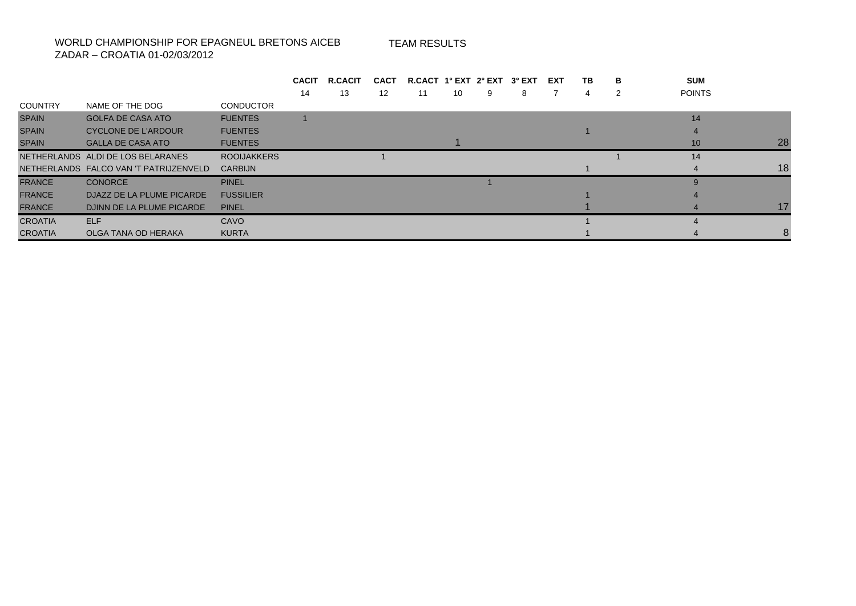## WORLD CHAMPIONSHIP FOR EPAGNEUL BRETONS AICEB

TEAM RESULTS

ZADAR – CROATIA 01-02/03/2012

|                |                                        |                    | <b>CACIT</b> | <b>R.CACIT</b> | <b>CACT</b> | R.CACT 1° EXT 2° EXT |    |   | 3° EXT | EXT | TB | в | <b>SUM</b>      |    |
|----------------|----------------------------------------|--------------------|--------------|----------------|-------------|----------------------|----|---|--------|-----|----|---|-----------------|----|
|                |                                        |                    | 14           | 13             | 12          | 11                   | 10 | 9 | 8      |     | 4  | 2 | <b>POINTS</b>   |    |
| <b>COUNTRY</b> | NAME OF THE DOG                        | <b>CONDUCTOR</b>   |              |                |             |                      |    |   |        |     |    |   |                 |    |
| <b>SPAIN</b>   | <b>GOLFA DE CASA ATO</b>               | <b>FUENTES</b>     |              |                |             |                      |    |   |        |     |    |   | 14              |    |
| <b>SPAIN</b>   | <b>CYCLONE DE L'ARDOUR</b>             | <b>FUENTES</b>     |              |                |             |                      |    |   |        |     |    |   |                 |    |
| <b>SPAIN</b>   | <b>GALLA DE CASA ATO</b>               | <b>FUENTES</b>     |              |                |             |                      |    |   |        |     |    |   | 10 <sup>°</sup> | 28 |
|                | NETHERLANDS ALDI DE LOS BELARANES      | <b>ROOIJAKKERS</b> |              |                |             |                      |    |   |        |     |    |   | 14              |    |
|                | NETHERLANDS FALCO VAN 'T PATRIJZENVELD | <b>CARBIJN</b>     |              |                |             |                      |    |   |        |     |    |   |                 | 18 |
| <b>FRANCE</b>  | <b>CONORCE</b>                         | <b>PINEL</b>       |              |                |             |                      |    |   |        |     |    |   |                 |    |
| <b>FRANCE</b>  | DJAZZ DE LA PLUME PICARDE              | <b>FUSSILIER</b>   |              |                |             |                      |    |   |        |     |    |   |                 |    |
| <b>FRANCE</b>  | DJINN DE LA PLUME PICARDE              | <b>PINEL</b>       |              |                |             |                      |    |   |        |     |    |   |                 | 17 |
| <b>CROATIA</b> | <b>ELF</b>                             | CAVO               |              |                |             |                      |    |   |        |     |    |   |                 |    |
| <b>CROATIA</b> | OLGA TANA OD HERAKA                    | <b>KURTA</b>       |              |                |             |                      |    |   |        |     |    |   |                 |    |